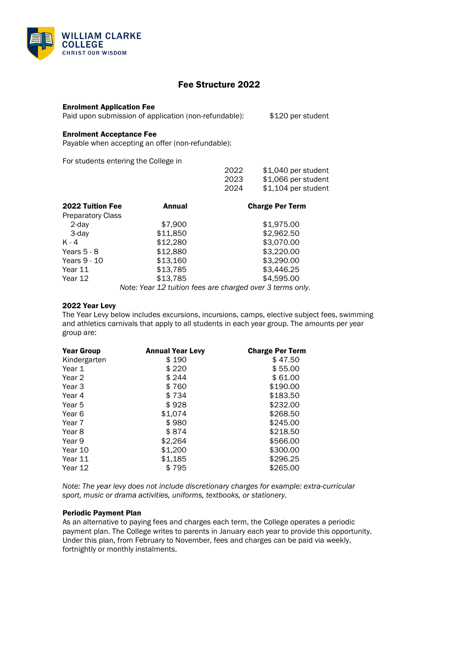

# Fee Structure 2022

### Enrolment Application Fee

Paid upon submission of application (non-refundable): \$120 per student

# Enrolment Acceptance Fee

Payable when accepting an offer (non-refundable):

For students entering the College in

|                          |          | 2022<br>2023           | \$1,040 per student<br>\$1,066 per student |
|--------------------------|----------|------------------------|--------------------------------------------|
|                          |          | 2024                   | \$1,104 per student                        |
| <b>2022 Tuition Fee</b>  | Annual   | <b>Charge Per Term</b> |                                            |
| <b>Preparatory Class</b> |          |                        |                                            |
| 2-day                    | \$7,900  |                        | \$1,975.00                                 |
| 3-day                    | \$11,850 |                        | \$2,962.50                                 |
| $K - 4$                  | \$12,280 |                        | \$3,070.00                                 |
| Years $5 - 8$            | \$12,880 |                        | \$3,220.00                                 |
| Years 9 - 10             | \$13,160 |                        | \$3,290.00                                 |
| Year 11                  | \$13,785 |                        | \$3,446.25                                 |
| Year 12                  | \$13,785 |                        | \$4,595.00                                 |
|                          |          |                        |                                            |

*Note: Year 12 tuition fees are charged over 3 terms only.*

#### 2022 Year Levy

The Year Levy below includes excursions, incursions, camps, elective subject fees, swimming and athletics carnivals that apply to all students in each year group. The amounts per year group are:

| <b>Year Group</b> | <b>Annual Year Levy</b> | <b>Charge Per Term</b> |
|-------------------|-------------------------|------------------------|
| Kindergarten      | \$ 190                  | \$47.50                |
| Year 1            | \$ 220                  | \$55.00                |
| Year 2            | \$ 244                  | \$61.00                |
| Year 3            | \$760                   | \$190.00               |
| Year 4            | \$734                   | \$183.50               |
| Year 5            | \$ 928                  | \$232.00               |
| Year 6            | \$1,074                 | \$268.50               |
| Year 7            | \$980                   | \$245.00               |
| Year 8            | \$874                   | \$218.50               |
| Year 9            | \$2,264                 | \$566.00               |
| Year 10           | \$1,200                 | \$300.00               |
| Year 11           | \$1,185                 | \$296.25               |
| Year 12           | \$795                   | \$265.00               |

*Note: The year levy does not include discretionary charges for example: extra-curricular sport, music or drama activities, uniforms, textbooks, or stationery.*

### Periodic Payment Plan

As an alternative to paying fees and charges each term, the College operates a periodic payment plan. The College writes to parents in January each year to provide this opportunity. Under this plan, from February to November, fees and charges can be paid via weekly, fortnightly or monthly instalments.